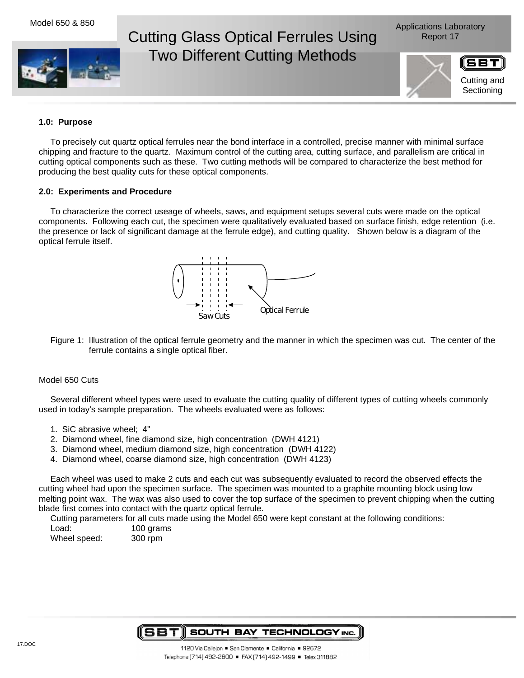

# Cutting Glass Optical Ferrules Using **Report 17** Two Different Cutting Methods



### **1.0: Purpose**

To precisely cut quartz optical ferrules near the bond interface in a controlled, precise manner with minimal surface chipping and fracture to the quartz. Maximum control of the cutting area, cutting surface, and parallelism are critical in cutting optical components such as these. Two cutting methods will be compared to characterize the best method for producing the best quality cuts for these optical components.

## **2.0: Experiments and Procedure**

To characterize the correct useage of wheels, saws, and equipment setups several cuts were made on the optical components. Following each cut, the specimen were qualitatively evaluated based on surface finish, edge retention (i.e. the presence or lack of significant damage at the ferrule edge), and cutting quality. Shown below is a diagram of the optical ferrule itself.



Figure 1: Illustration of the optical ferrule geometry and the manner in which the specimen was cut. The center of the ferrule contains a single optical fiber.

#### Model 650 Cuts

Several different wheel types were used to evaluate the cutting quality of different types of cutting wheels commonly used in today's sample preparation. The wheels evaluated were as follows:

- 1. SiC abrasive wheel; 4"
- 2. Diamond wheel, fine diamond size, high concentration (DWH 4121)
- 3. Diamond wheel, medium diamond size, high concentration (DWH 4122)
- 4. Diamond wheel, coarse diamond size, high concentration (DWH 4123)

Each wheel was used to make 2 cuts and each cut was subsequently evaluated to record the observed effects the cutting wheel had upon the specimen surface. The specimen was mounted to a graphite mounting block using low melting point wax. The wax was also used to cover the top surface of the specimen to prevent chipping when the cutting blade first comes into contact with the quartz optical ferrule.

Cutting parameters for all cuts made using the Model 650 were kept constant at the following conditions:

Load: 100 grams Wheel speed: 300 rpm